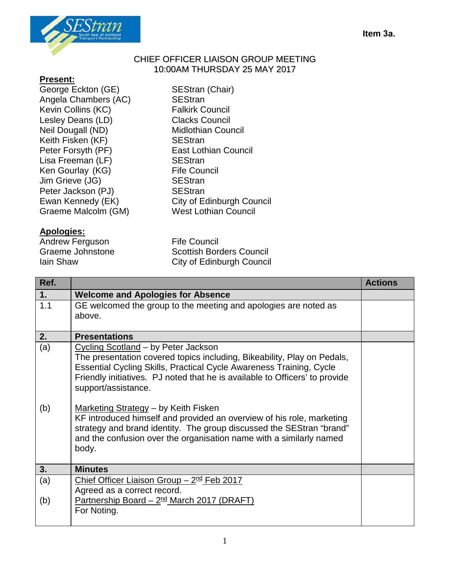

## CHIEF OFFICER LIAISON GROUP MEETING 10:00AM THURSDAY 25 MAY 2017

- **Present:**
- George Eckton (GE) SEStran (Chair) Angela Chambers (AC) SEStran<br>
Kevin Collins (KC) Servey Salkirk Council Kevin Collins (KC) Lesley Deans (LD) Clacks Council Neil Dougall (ND) Midlothian Council Keith Fisken (KF) SEStran Peter Forsyth (PF) East Lothian Council Lisa Freeman (LF) SEStran<br>Ken Gourlav (KG) Seneman Serife Council Ken Gourlay (KG) Jim Grieve (JG) SEStran Peter Jackson (PJ) SEStran Graeme Malcolm (GM)

## **Apologies:**

Andrew Ferguson Fife Council<br>Graeme Johnstone Scottish Bor

Ewan Kennedy (EK) City of Edinburgh Council<br>Graeme Malcolm (GM) Council Council

Scottish Borders Council **Iain Shaw City of Edinburgh Council** 

| Ref.       |                                                                                                                                                                                                                                                                                                                                                                                                                                                                                             | <b>Actions</b> |
|------------|---------------------------------------------------------------------------------------------------------------------------------------------------------------------------------------------------------------------------------------------------------------------------------------------------------------------------------------------------------------------------------------------------------------------------------------------------------------------------------------------|----------------|
| 1.         | <b>Welcome and Apologies for Absence</b>                                                                                                                                                                                                                                                                                                                                                                                                                                                    |                |
| 1.1        | GE welcomed the group to the meeting and apologies are noted as<br>above.                                                                                                                                                                                                                                                                                                                                                                                                                   |                |
| 2.         | <b>Presentations</b>                                                                                                                                                                                                                                                                                                                                                                                                                                                                        |                |
| (a)<br>(b) | Cycling Scotland – by Peter Jackson<br>The presentation covered topics including, Bikeability, Play on Pedals,<br><b>Essential Cycling Skills, Practical Cycle Awareness Training, Cycle</b><br>Friendly initiatives. PJ noted that he is available to Officers' to provide<br>support/assistance.<br>Marketing Strategy - by Keith Fisken<br>KF introduced himself and provided an overview of his role, marketing<br>strategy and brand identity. The group discussed the SEStran "brand" |                |
|            | and the confusion over the organisation name with a similarly named<br>body.                                                                                                                                                                                                                                                                                                                                                                                                                |                |
| 3.         | <b>Minutes</b>                                                                                                                                                                                                                                                                                                                                                                                                                                                                              |                |
| (a)        | Chief Officer Liaison Group $-2nd$ Feb 2017<br>Agreed as a correct record.                                                                                                                                                                                                                                                                                                                                                                                                                  |                |
| (b)        | Partnership Board $-2nd$ March 2017 (DRAFT)<br>For Noting.                                                                                                                                                                                                                                                                                                                                                                                                                                  |                |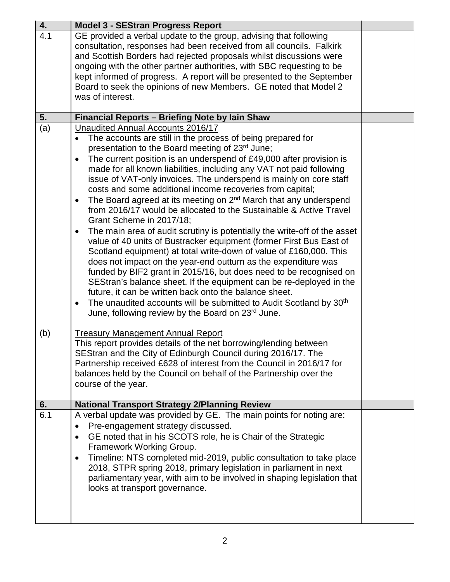| 4.  | <b>Model 3 - SEStran Progress Report</b>                                                                                                                                                                                                                                                                                                                                                                                                                                                                                                                                                                                                                                                                                                                                                                                                                                                                                                                                                                                                                                                                                                                                                                                                                                                                                     |  |
|-----|------------------------------------------------------------------------------------------------------------------------------------------------------------------------------------------------------------------------------------------------------------------------------------------------------------------------------------------------------------------------------------------------------------------------------------------------------------------------------------------------------------------------------------------------------------------------------------------------------------------------------------------------------------------------------------------------------------------------------------------------------------------------------------------------------------------------------------------------------------------------------------------------------------------------------------------------------------------------------------------------------------------------------------------------------------------------------------------------------------------------------------------------------------------------------------------------------------------------------------------------------------------------------------------------------------------------------|--|
| 4.1 | GE provided a verbal update to the group, advising that following<br>consultation, responses had been received from all councils. Falkirk<br>and Scottish Borders had rejected proposals whilst discussions were<br>ongoing with the other partner authorities, with SBC requesting to be<br>kept informed of progress. A report will be presented to the September<br>Board to seek the opinions of new Members. GE noted that Model 2<br>was of interest.                                                                                                                                                                                                                                                                                                                                                                                                                                                                                                                                                                                                                                                                                                                                                                                                                                                                  |  |
| 5.  | Financial Reports - Briefing Note by lain Shaw                                                                                                                                                                                                                                                                                                                                                                                                                                                                                                                                                                                                                                                                                                                                                                                                                                                                                                                                                                                                                                                                                                                                                                                                                                                                               |  |
| (a) | <b>Unaudited Annual Accounts 2016/17</b><br>The accounts are still in the process of being prepared for<br>presentation to the Board meeting of 23rd June;<br>The current position is an underspend of £49,000 after provision is<br>$\bullet$<br>made for all known liabilities, including any VAT not paid following<br>issue of VAT-only invoices. The underspend is mainly on core staff<br>costs and some additional income recoveries from capital;<br>The Board agreed at its meeting on 2 <sup>nd</sup> March that any underspend<br>$\bullet$<br>from 2016/17 would be allocated to the Sustainable & Active Travel<br>Grant Scheme in 2017/18;<br>The main area of audit scrutiny is potentially the write-off of the asset<br>$\bullet$<br>value of 40 units of Bustracker equipment (former First Bus East of<br>Scotland equipment) at total write-down of value of £160,000. This<br>does not impact on the year-end outturn as the expenditure was<br>funded by BIF2 grant in 2015/16, but does need to be recognised on<br>SEStran's balance sheet. If the equipment can be re-deployed in the<br>future, it can be written back onto the balance sheet.<br>The unaudited accounts will be submitted to Audit Scotland by 30 <sup>th</sup><br>$\bullet$<br>June, following review by the Board on 23rd June. |  |
| (b) | <b>Treasury Management Annual Report</b><br>This report provides details of the net borrowing/lending between<br>SEStran and the City of Edinburgh Council during 2016/17. The<br>Partnership received £628 of interest from the Council in 2016/17 for<br>balances held by the Council on behalf of the Partnership over the<br>course of the year.                                                                                                                                                                                                                                                                                                                                                                                                                                                                                                                                                                                                                                                                                                                                                                                                                                                                                                                                                                         |  |
| 6.  | <b>National Transport Strategy 2/Planning Review</b>                                                                                                                                                                                                                                                                                                                                                                                                                                                                                                                                                                                                                                                                                                                                                                                                                                                                                                                                                                                                                                                                                                                                                                                                                                                                         |  |
| 6.1 | A verbal update was provided by GE. The main points for noting are:<br>Pre-engagement strategy discussed.<br>$\bullet$<br>GE noted that in his SCOTS role, he is Chair of the Strategic<br>$\bullet$<br>Framework Working Group.<br>Timeline: NTS completed mid-2019, public consultation to take place<br>$\bullet$<br>2018, STPR spring 2018, primary legislation in parliament in next<br>parliamentary year, with aim to be involved in shaping legislation that<br>looks at transport governance.                                                                                                                                                                                                                                                                                                                                                                                                                                                                                                                                                                                                                                                                                                                                                                                                                       |  |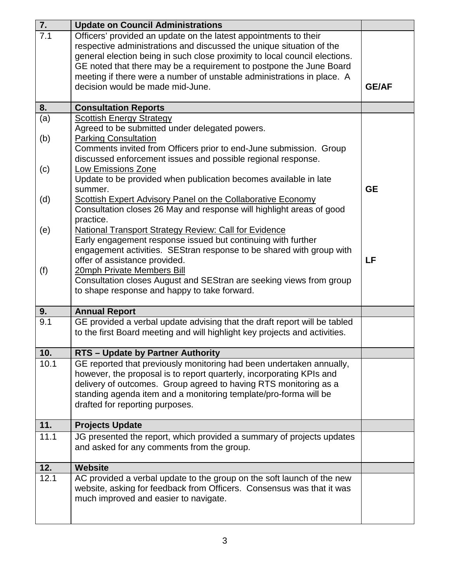| 7.               | <b>Update on Council Administrations</b>                                   |              |
|------------------|----------------------------------------------------------------------------|--------------|
| $\overline{7.1}$ | Officers' provided an update on the latest appointments to their           |              |
|                  | respective administrations and discussed the unique situation of the       |              |
|                  | general election being in such close proximity to local council elections. |              |
|                  | GE noted that there may be a requirement to postpone the June Board        |              |
|                  | meeting if there were a number of unstable administrations in place. A     |              |
|                  | decision would be made mid-June.                                           | <b>GE/AF</b> |
|                  |                                                                            |              |
| 8.               | <b>Consultation Reports</b>                                                |              |
| (a)              | <b>Scottish Energy Strategy</b>                                            |              |
|                  | Agreed to be submitted under delegated powers.                             |              |
| (b)              | <b>Parking Consultation</b>                                                |              |
|                  | Comments invited from Officers prior to end-June submission. Group         |              |
|                  | discussed enforcement issues and possible regional response.               |              |
| (c)              | Low Emissions Zone                                                         |              |
|                  | Update to be provided when publication becomes available in late           |              |
|                  | summer.                                                                    | <b>GE</b>    |
| (d)              | <b>Scottish Expert Advisory Panel on the Collaborative Economy</b>         |              |
|                  | Consultation closes 26 May and response will highlight areas of good       |              |
|                  | practice.                                                                  |              |
| (e)              | <b>National Transport Strategy Review: Call for Evidence</b>               |              |
|                  | Early engagement response issued but continuing with further               |              |
|                  | engagement activities. SEStran response to be shared with group with       |              |
|                  | offer of assistance provided.                                              | LF           |
| (f)              | 20mph Private Members Bill                                                 |              |
|                  | Consultation closes August and SEStran are seeking views from group        |              |
|                  | to shape response and happy to take forward.                               |              |
| 9.               | <b>Annual Report</b>                                                       |              |
| 9.1              | GE provided a verbal update advising that the draft report will be tabled  |              |
|                  | to the first Board meeting and will highlight key projects and activities. |              |
|                  |                                                                            |              |
| 10.              | <b>RTS - Update by Partner Authority</b>                                   |              |
| 10.1             | GE reported that previously monitoring had been undertaken annually,       |              |
|                  | however, the proposal is to report quarterly, incorporating KPIs and       |              |
|                  | delivery of outcomes. Group agreed to having RTS monitoring as a           |              |
|                  | standing agenda item and a monitoring template/pro-forma will be           |              |
|                  | drafted for reporting purposes.                                            |              |
| 11.              | <b>Projects Update</b>                                                     |              |
| 11.1             | JG presented the report, which provided a summary of projects updates      |              |
|                  | and asked for any comments from the group.                                 |              |
|                  |                                                                            |              |
| 12.              | <b>Website</b>                                                             |              |
| 12.1             | AC provided a verbal update to the group on the soft launch of the new     |              |
|                  | website, asking for feedback from Officers. Consensus was that it was      |              |
|                  | much improved and easier to navigate.                                      |              |
|                  |                                                                            |              |
|                  |                                                                            |              |